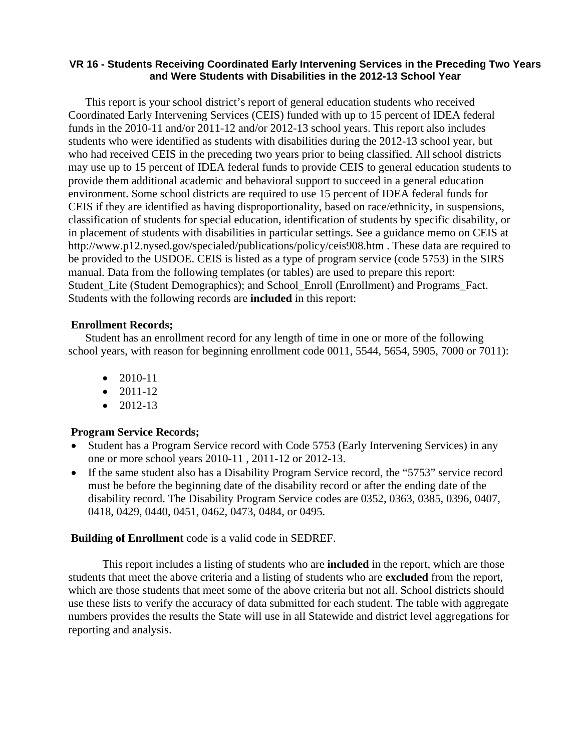### **VR 16 - Students Receiving Coordinated Early Intervening Services in the Preceding Two Years and Were Students with Disabilities in the 2012-13 School Year**

This report is your school district's report of general education students who received Coordinated Early Intervening Services (CEIS) funded with up to 15 percent of IDEA federal funds in the 2010-11 and/or 2011-12 and/or 2012-13 school years. This report also includes students who were identified as students with disabilities during the 2012-13 school year, but who had received CEIS in the preceding two years prior to being classified. All school districts may use up to 15 percent of IDEA federal funds to provide CEIS to general education students to provide them additional academic and behavioral support to succeed in a general education environment. Some school districts are required to use 15 percent of IDEA federal funds for CEIS if they are identified as having disproportionality, based on race/ethnicity, in suspensions, classification of students for special education, identification of students by specific disability, or in placement of students with disabilities in particular settings. See a guidance memo on CEIS at http://www.p12.nysed.gov/specialed/publications/policy/ceis908.htm . These data are required to be provided to the USDOE. CEIS is listed as a type of program service (code 5753) in the SIRS manual. Data from the following templates (or tables) are used to prepare this report: Student\_Lite (Student Demographics); and School\_Enroll (Enrollment) and Programs\_Fact. Students with the following records are **included** in this report:

## **Enrollment Records;**

Student has an enrollment record for any length of time in one or more of the following school years, with reason for beginning enrollment code 0011, 5544, 5654, 5905, 7000 or 7011):

- $\bullet$  2010-11
- $\bullet$  2011-12
- $\bullet$  2012-13

## **Program Service Records;**

- Student has a Program Service record with Code 5753 (Early Intervening Services) in any one or more school years 2010-11 , 2011-12 or 2012-13.
- If the same student also has a Disability Program Service record, the "5753" service record must be before the beginning date of the disability record or after the ending date of the disability record. The Disability Program Service codes are 0352, 0363, 0385, 0396, 0407, 0418, 0429, 0440, 0451, 0462, 0473, 0484, or 0495.

#### **Building of Enrollment** code is a valid code in SEDREF.

 This report includes a listing of students who are **included** in the report, which are those students that meet the above criteria and a listing of students who are **excluded** from the report, which are those students that meet some of the above criteria but not all. School districts should use these lists to verify the accuracy of data submitted for each student. The table with aggregate numbers provides the results the State will use in all Statewide and district level aggregations for reporting and analysis.